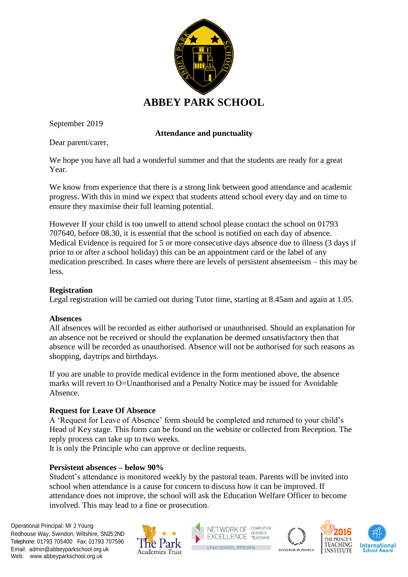

September 2019

# **Attendance and punctuality**

Dear parent/carer,

We hope you have all had a wonderful summer and that the students are ready for a great Year.

We know from experience that there is a strong link between good attendance and academic progress. With this in mind we expect that students attend school every day and on time to ensure they maximise their full learning potential.

However If your child is too unwell to attend school please contact the school on 01793 707640, before 08.30, it is essential that the school is notified on each day of absence. Medical Evidence is required for 5 or more consecutive days absence due to illness (3 days if prior to or after a school holiday) this can be an appointment card or the label of any medication prescribed. In cases where there are levels of persistent absenteeism – this may be less.

## **Registration**

Legal registration will be carried out during Tutor time, starting at 8.45am and again at 1.05.

## **Absences**

All absences will be recorded as either authorised or unauthorised. Should an explanation for an absence not be received or should the explanation be deemed unsatisfactory then that absence will be recorded as unauthorised. Absence will not be authorised for such reasons as shopping, daytrips and birthdays.

If you are unable to provide medical evidence in the form mentioned above, the absence marks will revert to O=Unauthorised and a Penalty Notice may be issued for Avoidable Absence.

## **Request for Leave Of Absence**

A 'Request for Leave of Absence' form should be completed and returned to your child's Head of Key stage. This form can be found on the website or collected from Reception. The reply process can take up to two weeks.

It is only the Principle who can approve or decline requests.

## **Persistent absences – below 90%**

Student's attendance is monitored weekly by the pastoral team. Parents will be invited into school when attendance is a cause for concern to discuss how it can be improved. If attendance does not improve, the school will ask the Education Welfare Officer to become involved. This may lead to a fine or prosecution.

Operational Principal: Mr J Young Redhouse Way, Swindon, Wiltshire, SN25 2ND Telephone: 01793 705400 Fax: 01793 707596 Email: admin@abbeyparkschool.org.uk Web: www.abbeyparkschool.org.uk









**INVESTOR IN PEOPLE**